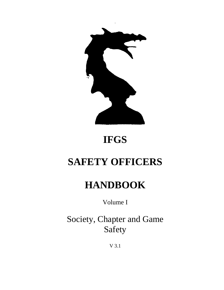

# **IFGS**

# **SAFETY OFFICERS**

# **HANDBOOK**

Volume I

Society, Chapter and Game Safety

V 3.1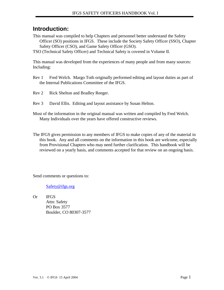# <span id="page-2-0"></span>**Introduction:**

- This manual was compiled to help Chapters and personnel better understand the Safety Officer (SO) positions in IFGS. These include the Society Safety Officer (SSO), Chapter Safety Officer (CSO), and Game Safety Officer (GSO).
- TSO (Technical Safety Officer) and Technical Safety is covered in Volume II.

This manual was developed from the experiences of many people and from many sources: Including:

- Rev 1 Fred Welch. Margo Toth originally performed editing and layout duties as part of the Internal Publications Committee of the IFGS.
- Rev 2 Rick Shelton and Bradley Reeger.
- Rev 3 David Ellis. Editing and layout assistance by Susan Helton.
- Most of the information in the original manual was written and compiled by Fred Welch. Many Individuals over the years have offered constructive reviews.
- The IFGS gives permission to any members of IFGS to make copies of any of the material in this book. Any and all comments on the information in this book are welcome, especially from Provisional Chapters who may need further clarification. This handbook will be reviewed on a yearly basis, and comments accepted for that review on an ongoing basis.

Send comments or questions to:

Safety@ifgs.org

Or IFGS Attn: Safety PO Box 3577 Boulder, CO 80307-3577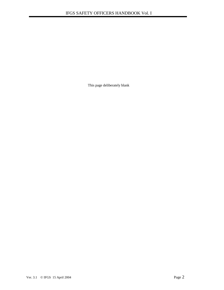This page deliberately blank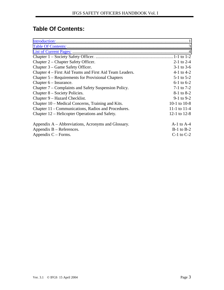# **Table Of Contents:**

| Chapter 2 – Chapter Safety Officer.                     | 2-1 to $2-4$   |
|---------------------------------------------------------|----------------|
| Chapter 3 – Game Safety Officer.                        | $3-1$ to $3-6$ |
| Chapter 4 – First Aid Teams and First Aid Team Leaders. | 4-1 to $4-2$   |
| Chapter 5 – Requirements for Provisional Chapters       | $5-1$ to $5-2$ |
| Chapter $6$ – Insurance.                                | $6-1$ to $6-2$ |
| Chapter 7 – Complaints and Safety Suspension Policy.    | $7-1$ to $7-2$ |
| Chapter 8 – Society Policies.                           | $8-1$ to $8-2$ |
| Chapter 9 – Hazard Checklist.                           | $9-1$ to $9-2$ |
| Chapter 10 – Medical Concerns, Training and Kits.       | 10-1 to $10-8$ |
| Chapter 11 - Communications, Radios and Procedures.     | 11-1 to 11-4   |
| Chapter 12 – Helicopter Operations and Safety.          | 12-1 to 12-8   |
| Appendix A – Abbreviations, Acronyms and Glossary.      | $A-1$ to $A-4$ |
| Appendix $B -$ References.                              | $B-1$ to $B-2$ |
| Appendix $C$ – Forms.                                   | $C-1$ to $C-2$ |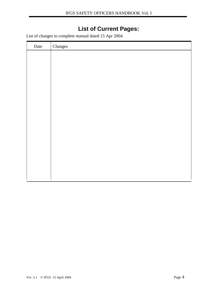# **List of Current Pages:**

<span id="page-5-0"></span>List of changes to complete manual dated 15 Apr 2004.

| Date | Changes |
|------|---------|
|      |         |
|      |         |
|      |         |
|      |         |
|      |         |
|      |         |
|      |         |
|      |         |
|      |         |
|      |         |
|      |         |
|      |         |
|      |         |
|      |         |
|      |         |
|      |         |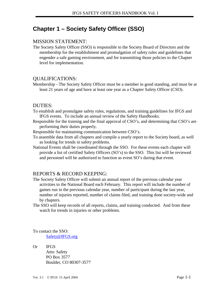# **Chapter 1 – Society Safety Officer (SSO)**

#### MISSION STATEMENT:

The Society Safety Officer (SSO) is responsible to the Society Board of Directors and the membership for the establishment and promulgation of safety rules and guidelines that engender a safe gaming environment, and for transmitting those policies to the Chapter level for implementation.

#### QUALIFICATIONS:

Membership - The Society Safety Officer must be a member in good standing, and must be at least 21 years of age and have at least one year as a Chapter Safety Officer (CSO).

#### DUTIES:

To establish and promulgate safety rules, regulations, and training guidelines for IFGS and IFGS events. To include an annual review of the Safety Handbooks.

Responsible for the training and the final approval of CSO's, and determining that CSO's are performing their duties properly.

Responsible for maintaining communication between CSO's.

- To assemble data from all chapters and compile a yearly report to the Society board, as well as looking for trends in safety problems.
- National Events shall be coordinated through the SSO. For these events each chapter will provide a list of certified Safety Officers (SO's) to the SSO. This list will be reviewed and personnel will be authorized to function as event SO's during that event.

### REPORTS & RECORD KEEPING:

- The Society Safety Officer will submit an annual report of the previous calendar year activities to the National Board each February. This report will include the number of games run in the previous calendar year, number of participant during the last year, number of injuries reported, number of claims filed, and training done society-wide and by chapters.
- The SSO will keep records of all reports, claims, and training conducted. And from these watch for trends in injuries or other problems.

To contact the SSO: Safety@IFGS.org

Or IFGS

 Attn: Safety PO Box 3577 Boulder, CO 80307-3577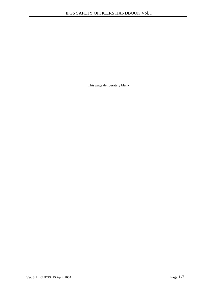This page deliberately blank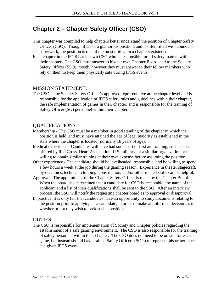# **Chapter 2 – Chapter Safety Officer (CSO)**

- This chapter was compiled to help chapters better understand the position of Chapter Safety Officer (CSO). Though it is not a glamorous position, and is often filled with abundant paperwork, the position is one of the most critical in a chapters existence.
- Each chapter in the IFGS has its own CSO who is responsible for all safety matters within their chapter. The CSO must answer to his/her own Chapter Board, and to the Society Safety Officer (SSO), mostly however they must answer to their fellow members who rely on them to keep them physically safe during IFGS events.

#### MISSION STATEMENT:

The CSO is the Society Safety Officer's approved representative at the chapter level and is responsible for the application of IFGS safety rules and guidelines within their chapter, the safe implementation of games in their chapter, and is responsible for the training of Safety Officer (SO) personnel within their chapter.

#### QUALIFICATIONS:

- Membership The CSO must be a member in good standing of the chapter in which the position is held, and must have attained the age of legal majority as established in the state where the chapter is located (normally 18 years of age).
- Medical experience Candidates will have had some sort of first aid training, such as that offered by Red Cross, Heart Association, U.S. military, or a similar organization or be willing to obtain similar training at their own expense before assuming the position.
- Other experience The candidate should be levelheaded, responsible, and be willing to spend a few hours a week at the job during the gaming season. Experience in theater stagecraft, pyrotechnics, technical climbing, construction, and/or other related skills can be helpful.
- Approval The appointment of the Chapter Safety Officer is made by the Chapter Board. When the board has determined that a candidate for CSO is acceptable, the name of the applicant and a list of their qualifications shall be sent to the SSO. After an interview process, the SSO will notify the requesting chapter board as to approval or disapproval:
- In practice, it is only fair that candidates have an opportunity to study documents relating to the position prior to applying as a candidate, in order to make an informed decision as to whether or not they wish to seek such a position.

#### DUTIES:

The CSO is responsible for implementation of Society and Chapter policies regarding the establishment of a safe gaming environment. The CSO is also responsible for the training of safety personnel within their chapter. The CSO does not need to be on site for each game, but instead should have trained Safety Officers (SO's) to represent his or her place at a given IFGS event.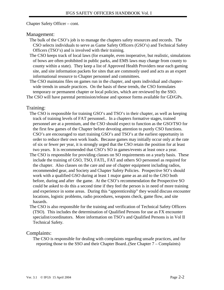#### Chapter Safety Officer – cont.

#### Management:

- The bulk of the CSO's job is to manage the chapters safety resources and records. The CSO selects individuals to serve as Game Safety Officers (GSO's) and Technical Safety Officers (TSO's) and is involved with their training.
- The CSO keeps track of local laws (for example, even inoperative, but realistic, simulations of bows are often prohibited in public parks, and EMS laws may change from county to county within a state). They keep a list of Approved Health Providers near each gaming site, and site information packets for sites that are commonly used and acts as an expert informational resource to Chapter personnel and committees.
- The CSO maintains files on games run in the chapter, and spots individual and chapterwide trends in unsafe practices. On the basis of these trends, the CSO formulates temporary or permanent chapter or local policies, which are reviewed by the SSO.

The CSO will have parental permission/release and sponsor forms available for GD/GPs.

#### Training:

- The CSO is responsible for training GSO's and TSO's in their chapter, as well as keeping track of training levels of FAT personnel.. In a chapters formative stages, trained personnel are at a premium, and the CSO should expect to function as the GSO/TSO for the first few games of the Chapter before devoting attention to purely CSO functions. CSO's are encouraged to start training GSO's and TSO's at the earliest opportunity in order to reduce their own work loads. Because games may initially occur only at the rate of six or fewer per year, it is strongly urged that the CSO retain the position for at least two years. It is recommended that CSO's SO in games/events at least once a year.
- The CSO is responsible for providing classes on SO requirements on a yearly basis. These include the training of GSO, TSO, FATL, FAT and others SO personnel as required for the chapter. Also classes on the care and use of chapter equipment including radios, recommended gear, and Society and Chapter Safety Policies. Prospective SO's should work with a qualified GSO during at least 1 major game as an aid to the GSO both before, during and after the game. At the CSO's recommendation the Prospective SO could be asked to do this a second time if they feel the person is in need of more training and experience in some areas. During this "apprenticeship" they would discuss encounter locations, logistic problems, radio procedures, weapons check, game flow, and site hazards.
- The CSO is also responsible for the training and verification of Technical Safety Officers (TSO). This includes the determination of Qualified Persons for use as FX encounter specialist/coordinators. More information on TSO's and Qualified Persons is in Vol II Technical Safety.

#### Complaints:

The CSO is responsible for dealing with complaints regarding unsafe practices, and for reporting those to the SSO and their Chapter Board..(See Chapter 7 – Complaints)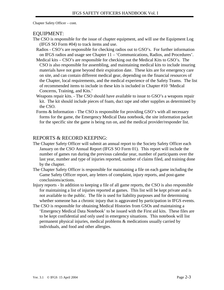Chapter Safety Officer – cont.

#### EQUIPMENT:

- The CSO is responsible for the issue of chapter equipment, and will use the Equipment Log (IFGS SO Form #04) to track items and use.
	- Radios CSO's are responsible for checking radios out to GSO's. For further information on IFGS radios and usage see Chapter 11 – 'Communications, Radios, and Procedures'.
	- Medical kits CSO's are responsible for checking out the Medical Kits to GSO's. The CSO is also responsible for assembling, and maintaining medical kits to include insuring materials have not gone beyond their expiration date. These kits are for emergency care on site, and can contain different medical gear, depending on the financial resources of the Chapter, local requirements, and the medical experience of the Safety Teams. The list of recommended items to include in these kits is included in Chapter #10 'Medical Concerns, Training, and Kits.'
	- Weapons repair kits. The CSO should have available to issue to GSO's a weapons repair kit. The kit should include pieces of foam, duct tape and other supplies as determined by the CSO.
	- Forms & Information The CSO is responsible for providing GSO's with all necessary forms for the game, the Emergency Medical Data notebook, the site information packet for the specific site the game is being run on, and the medical provider/responder list.

### REPORTS & RECORD KEEPING:

- The Chapter Safety Officer will submit an annual report to the Society Safety Officer each January on the CSO Annual Report (IFGS SO Form 01). This report will include the number of games run during the previous calendar year, number of participants over the last year, number and type of injuries reported, number of claims filed, and training done by the chapter.
- The Chapter Safety Officer is responsible for maintaining a file on each game including the Game Safety Officer report, any letters of complaint, injury reports, and post-game conclusions/actions.
- Injury reports In addition to keeping a file of all game reports, the CSO is also responsible for maintaining a list of injuries reported at games. This list will be kept private and is not available to the public. The file is used for liability purposes and for determining whether someone has a chronic injury that is aggravated by participation in IFGS events.
- The CSO is responsible for obtaining Medical Histories from GSOs and maintaining a 'Emergency Medical Data Notebook' to be issued with the First aid kits. These files are to be kept confidential and only used in emergency situations. This notebook will list permanent physical injuries, medical problems & medications usually carried by individuals, and food and other allergies.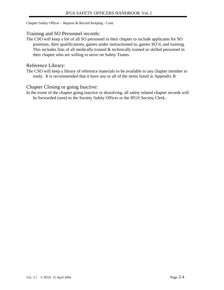Chapter Safety Officer – Reports & Record Keeping - Cont.

#### Training and SO Personnel records:

The CSO will keep a list of all SO personnel in their chapter to include applicants for SO positions, their qualifications, games under instructioned in, games SO'd, and training. This includes lists of all medically trained & technically trained or skilled personnel in their chapter who are willing to serve on Safety Teams.

#### Reference Library:

The CSO will keep a library of reference materials to be available to any chapter member to study. It is recommended that it have any or all of the items listed in Appendix B

#### Chapter Closing or going Inactive:

In the event of the chapter going inactive or dissolving, all safety related chapter records will be forwarded (sent) to the Society Safety Officer or the IFGS Society Clerk..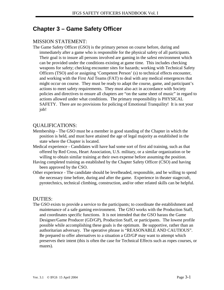# **Chapter 3 – Game Safety Officer**

### MISSION STATEMENT:

The Game Safety Officer (GSO) is the primary person on course before, during and immediately after a game who is responsible for the physical safety of all participants. Their goal is to insure all persons involved are gaming in the safest environment which can be provided under the conditions existing at game time. This includes checking weapons for safety; checking encounter sites for hazards; working with Technical Safety Officers (TSO) and or assigning 'Competent Person' (s) to technical effects encounter, and working with the First Aid Teams (FAT) to deal with any medical emergences that might occur on course. They must be ready to adapt the course, game, and participant's actions to meet safety requirements. They must also act in accordance with Society policies and directives to ensure all chapters are "on the same sheet of music" in regard to actions allowed under what conditions. The primary responsibility is PHYSICAL SAFETY. There are no provisions for policing of Emotional Tranquility! It is not your job!

#### QUALIFICATIONS:

- Membership The GSO must be a member in good standing of the Chapter in which the position is held, and must have attained the age of legal majority as established in the state where the Chapter is located.
- Medical experience Candidates will have had some sort of first aid training, such as that offered by Red Cross, Heart Association, U.S. military, or a similar organization or be willing to obtain similar training at their own expense before assuming the position.
- Having completed training as established by the Chapter Safety Officer (CSO) and having been approved by the CSO.
- Other experience The candidate should be levelheaded, responsible, and be willing to spend the necessary time before, during and after the game. Experience in theater stagecraft, pyrotechnics, technical climbing, construction, and/or other related skills can be helpful.

#### DUTIES:

The GSO exists to provide a service to the participants; to coordinate the establishment and maintenance of a safe gaming environment. The GSO works with the Production Staff, and coordinates specific functions. It is not intended that the GSO harass the Game Designer/Game Producer (GD/GP), Production Staff, or participants. The lowest profile possible while accomplishing these goals is the optimum. Be supportive, rather than an authoritarian adversary. The operative phrase is "REASONABLE AND CAUTIOUS". Be prepared to offer alternatives to a situation a GD/GP may want to attempt which preserves their intent (this is often the case for Technical Effects such as ropes courses, or mazes).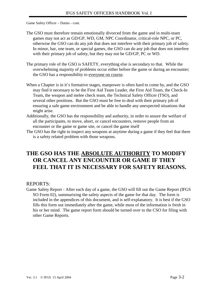Game Safety Officer – Duties - cont.

- The GSO must therefore remain emotionally divorced from the game and in multi-team games may not act as GD/GP, WD, GM, NPC Coordinator, critical-role NPC, or PC, otherwise the GSO can do any job that does not interfere with their primary job of safety. In minor, bar, one team, or special games, the GSO can do any job that does not interfere with their primary job of safety, but they may not be GD/GP, PC or WD.
- The primary role of the GSO is SAFETY, everything else is secondary to that. While the overwhelming majority of problems occur either before the game or during an encounter; the GSO has a responsibility to everyone on course.
- When a Chapter is in it's formative stages, manpower is often hard to come by, and the GSO may find it necessary to be the First Aid Team Leader, the First Aid Team, the Check-In Team, the weapon and melee check team, the Technical Safety Officer (TSO), and several other positions. But the GSO must be free to deal with their primary job of ensuring a safe game environment and be able to handle any unexpected situations that might arise.
- Additionally, the GSO has the responsibility and authority, in order to assure the welfare of all the participants, to move, abort, or cancel encounters, remove people from an encounter or the game or game site, or cancel the game itself
- The GSO has the right to inspect any weapons at anytime during a game if they feel that there is a safety related problem with those weapons.

# **THE GSO HAS THE ABSOLUTE AUTHORITY TO MODIFY OR CANCEL ANY ENCOUNTER OR GAME IF THEY FEEL THAT IT IS NECESSARY FOR SAFETY REASONS.**

### REPORTS:

Game Safety Report - After each day of a game, the GSO will fill out the Game Report (IFGS SO Form 02), summarizing the safety aspects of the game for that day. The form is included in the appendices of this document, and is self-explanatory. It is best if the GSO fills this form out immediately after the game, while most of the information is fresh in his or her mind. The game report form should be turned over to the CSO for filing with other Game Reports.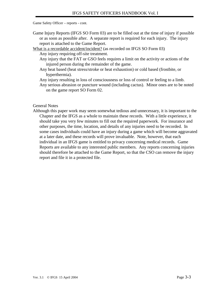Game Safety Officer – reports - cont.

- Game Injury Reports (IFGS SO Form 03) are to be filled out at the time of injury if possible or as soon as possible after. A separate report is required for each injury. The injury report is attached to the Game Report.
- What is a recordable accident/incident? (as recorded on IFGS SO Form 03)

Any injury requiring off-site treatment.

 Any injury that the FAT or GSO feels requires a limit on the activity or actions of the injured person during the remainder of the game.

- Any heat based (heat stress/stroke or heat exhaustion) or cold based (frostbite, or hyperthermia).
- Any injury resulting in loss of consciousness or loss of control or feeling to a limb.

 Any serious abrasion or puncture wound (including cactus). Minor ones are to be noted on the game report SO Form 02.

#### General Notes

Although this paper work may seem somewhat tedious and unnecessary, it is important to the Chapter and the IFGS as a whole to maintain these records. With a little experience, it should take you very few minutes to fill out the required paperwork. For insurance and other purposes, the time, location, and details of any injuries need to be recorded. In some cases individuals could have an injury during a game which will become aggravated at a later date, and these records will prove invaluable. Note, however, that each individual in an IFGS game is entitled to privacy concerning medical records. Game Reports are available to any interested public members. Any reports concerning injuries should therefore be attached to the Game Report, so that the CSO can remove the injury report and file it in a protected file.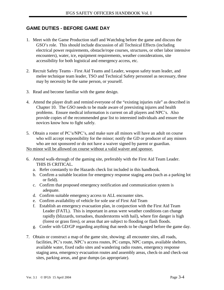### **GAME DUTIES - BEFORE GAME DAY**

- 1. Meet with the Game Production staff and Watchdog before the game and discuss the GSO's role. This should include discussion of all Technical Effects (including electrical power requirements, obstacle/rope courses, structures, or other labor intensive encounters), water, ice, equipment requirements, weather considerations, site accessibility for both logistical and emergency access, etc.
- 2. Recruit Safety Teams First Aid Teams and Leader, weapon safety team leader, and melee technique team leader, TSO and Technical Safety personnel as necessary, these may by necessity be the same person, or yourself.
- 3. Read and become familiar with the game design.
- 4. Attend the player draft and remind everyone of the "existing injuries rule" as described in Chapter 10. The GSO needs to be made aware of preexisting injures and health problems. Ensure medical information is current on all players and NPC's. Also provide copies of the recommended gear list to interested individuals and ensure the novices know how to fight safely.
- 5. Obtain a roster of PC's/NPC's, and make sure all minors will have an adult on course who will accept responsibility for the minor; notify the GD or producer of any minors who are not sponsored or do not have a waiver signed by parent or guardian. No minor will be allowed on course without a valid waiver and sponsor.
- 6. Attend walk-through of the gaming site, preferably with the First Aid Team Leader. THIS IS CRITICAL.
	- a. Refer constantly to the Hazards check list included in this handbook.
	- b. Confirm a suitable location for emergency response staging area (such as a parking lot or field).
	- c. Confirm that proposed emergency notification and communication system is adequate.
	- d. Confirm suitable emergency access to ALL encounter sites.
	- e. Confirm availability of vehicle for sole use of First Aid Team
	- f. Establish an emergency evacuation plan, in conjunction with the First Aid Team Leader (FATL). This is important in areas were weather conditions can change rapidly (blizzards, tornadoes, thunderstorms with hail), where fire danger is high (forest or grass fires), or areas that are subject to flooding or flash floods.
	- g. Confer with GD/GP regarding anything that needs to be changed before the game day.
- 7. Obtain or construct a map of the game site, showing: all encounter sites, all roads, facilities, PC's route, NPC's access routes, PC camps, NPC camps, available shelters, available water, fixed radio sites and wandering radio routes, emergency response staging area, emergency evacuation routes and assembly areas, check-in and check-out sites, parking areas, and gear dumps (as appropriate).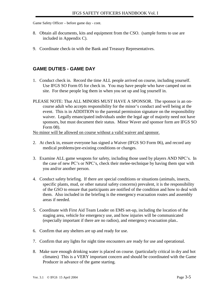Game Safety Officer – before game day - cont.

- 8. Obtain all documents, kits and equipment from the CSO. (sample forms to use are included in Appendix C).
- 9. Coordinate check-in with the Bank and Treasury Representatives.

### **GAME DUTIES - GAME DAY**

- 1. Conduct check in. Record the time ALL people arrived on course, including yourself. Use IFGS SO Form 05 for check in. You may have people who have camped out on site. For these people log them in when you set up and log yourself in.
- PLEASE NOTE: That ALL MINORS MUST HAVE A SPONSOR. The sponsor is an oncourse adult who accepts responsibility for the minor's conduct and well being at the event. This is in ADDITION to the parental permission signature on the responsibility waiver. Legally emancipated individuals under the legal age of majority need not have sponsors, but must document their status. Minor Waver and sponsor form are IFGS SO Form 08).

No minor will be allowed on course without a valid waiver and sponsor.

- 2. At check in, ensure everyone has signed a Waiver (IFGS SO Form 06), and record any medical problems/pre-existing conditions or changes.
- 3. Examine ALL game weapons for safety, including those used by players AND NPC's. In the case of new PC's or NPC's, check their melee-technique by having them spar with you and/or another person.
- 4. Conduct safety briefing. If there are special conditions or situations (animals, insects, specific plants, mud, or other natural safety concerns) prevalent, it is the responsibility of the GSO to ensure that participants are notified of the condition and how to deal with them. Also included in the briefing is the emergency evacuation routes and assembly areas if needed.
- 5. Coordinate with First Aid Team Leader on EMS set-up, including the location of the staging area, vehicle for emergency use, and how injuries will be communicated (especially important if there are no radios), and emergency evacuation plan..
- 6. Confirm that any shelters are up and ready for use.
- 7. Confirm that any lights for night time encounters are ready for use and operational.
- 8. Make sure enough drinking water is placed on course. (particularly critical in dry and hot climates) This is a VERY important concern and should be coordinated with the Game Producer in advance of the game starting.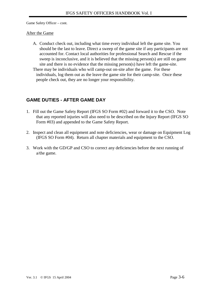Game Safety Officer – cont.

#### After the Game

A. Conduct check out, including what time every individual left the game site. You should be the last to leave. Direct a sweep of the game site if any participants are not accounted for. Contact local authorities for professional Search and Rescue if the sweep is inconclusive, and it is believed that the missing person(s) are still on game site and there is no evidence that the missing person(s) have left the game-site.

 There may be individuals who will camp-out on-site after the game. For these individuals, log them out as the leave the game site for their camp-site. Once these people check out, they are no longer your responsibility.

### **GAME DUTIES - AFTER GAME DAY**

- 1. Fill out the Game Safety Report (IFGS SO Form #02) and forward it to the CSO. Note that any reported injuries will also need to be described on the Injury Report (IFGS SO Form #03) and appended to the Game Safety Report.
- 2. Inspect and clean all equipment and note deficiencies, wear or damage on Equipment Log (IFGS SO Form #04). Return all chapter materials and equipment to the CSO.
- 3. Work with the GD/GP and CSO to correct any deficiencies before the next running of a/the game.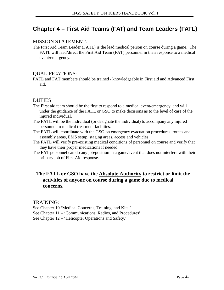# **Chapter 4 – First Aid Teams (FAT) and Team Leaders (FATL)**

#### MISSION STATEMENT:

The First Aid Team Leader (FATL) is the lead medical person on course during a game. The FATL will lead/direct the First Aid Team (FAT) personnel in their response to a medical event/emergency.

#### QUALIFICATIONS:

FATL and FAT members should be trained / knowledgeable in First aid and Advanced First aid.

#### **DUTIES**

- The First aid team should be the first to respond to a medical event/emergency, and will under the guidance of the FATL or GSO to make decisions as to the level of care of the injured individual.
- The FATL will be the individual (or designate the individual) to accompany any injured personnel to medical treatment facilities.
- The FATL will coordinate with the GSO on emergency evacuation procedures, routes and assembly areas, EMS setup, staging areas, access and vehicles.
- The FATL will verify pre-existing medical conditions of personnel on course and verify that they have their proper medications if needed.
- The FAT personnel can do any job/position in a game/event that does not interfere with their primary job of First Aid response.

## **The FATL or GSO have the Absolute Authority to restrict or limit the activities of anyone on course during a game due to medical concerns.**

#### TRAINING:

See Chapter 10 'Medical Concerns, Training, and Kits.'

- See Chapter 11 'Communications, Radios, and Procedures'.
- See Chapter 12 'Helicopter Operations and Safety.'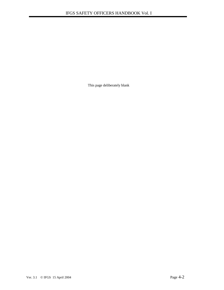This page deliberately blank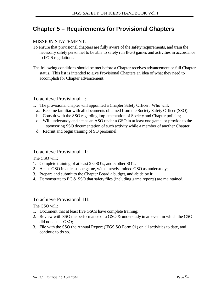# **Chapter 5 – Requirements for Provisional Chapters**

#### MISSION STATEMENT:

- To ensure that provisional chapters are fully aware of the safety requirements, and train the necessary safety personnel to be able to safely run IFGS games and activities in accordance to IFGS regulations.
- The following conditions should be met before a Chapter receives advancement or full Chapter status. This list is intended to give Provisional Chapters an idea of what they need to accomplish for Chapter advancement.

#### To achieve Provisional I:

- 1. The provisional chapter will appointed a Chapter Safety Officer. Who will:
	- a.. Become familiar with all documents obtained from the Society Safety Officer (SSO).
	- b. Consult with the SSO regarding implementation of Society and Chapter policies;
	- c. Will understudy and act as an ASO under a GSO in at least one game, or provide to the sponsoring SSO documentation of such activity while a member of another Chapter;
	- d. Recruit and begin training of SO personnel.

### To achieve Provisional II:

The CSO will:

- 1. Complete training of at least 2 GSO's, and 5 other SO's.
- 2. Act as GSO in at least one game, with a newly-trained GSO as understudy;
- 3. Prepare and submit to the Chapter Board a budget, and abide by it;
- 4. Demonstrate to EC & SSO that safety files (including game reports) are maintained.

#### To achieve Provisional III:

The CSO will:

- 1. Document that at least five GSOs have complete training;
- 2. Review with SSO the performance of a GSO & understudy in an event in which the CSO did not act as GSO;
- 3. File with the SSO the Annual Report (IFGS SO Form 01) on all activities to date, and continue to do so.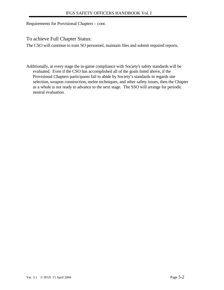Requirements for Provisional Chapters – cont.

### To achieve Full Chapter Status:

The CSO will continue to train SO personnel, maintain files and submit required reports.

Additionally, at every stage the in-game compliance with Society's safety standards will be evaluated. Even if the CSO has accomplished all of the goals listed above, if the Provisional Chapters participants fail to abide by Society's standards in regards site selection, weapon construction, melee techniques, and other safety issues, then the Chapter as a whole is not ready to advance to the next stage. The SSO will arrange for periodic neutral evaluation.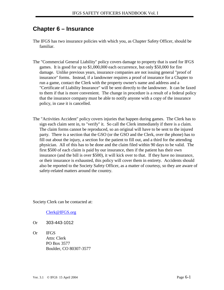# **Chapter 6 – Insurance**

- The IFGS has two insurance policies with which you, as Chapter Safety Officer, should be familiar.
- The "Commercial General Liability" policy covers damage to property that is used for IFGS games. It is good for up to \$1,000,000 each occurrence, but only \$50,000 for fire damage. Unlike previous years, insurance companies are not issuing general "proof of insurance" forms. Instead, if a landowner requires a proof of insurance for a Chapter to run a game, contact the Clerk with the property owner's name and address and a "Certificate of Liability Insurance" will be sent directly to the landowner. It can be faxed to them if that is more convenient. The change in procedure is a result of a federal policy that the insurance company must be able to notify anyone with a copy of the insurance policy, in case it is cancelled.
- The "Activities Accident" policy covers injuries that happen during games. The Clerk has to sign each claim sent in, to "verify" it. So call the Clerk immediately if there is a claim. The claim forms cannot be reproduced, so an original will have to be sent to the injured party. There is a section that the GSO (or the GSO and the Clerk, over the phone) has to fill out about the injury, a section for the patient to fill out, and a third for the attending physician. All of this has to be done and the claim filed within 90 days to be valid. The first \$500 of each claim is paid by our insurance, then if the patient has their own insurance (and the bill is over \$500), it will kick over to that. If they have no insurance, or their insurance is exhausted, this policy will cover them in entirety. Accidents should also be reported to the Society Safety Officer, as a matter of courtesy, so they are aware of safety-related matters around the country.

Society Clerk can be contacted at:

#### Clerk@IFGS.org

- Or 303-443-1012
- Or IFGS Attn: Clerk PO Box 3577 Boulder, CO 80307-3577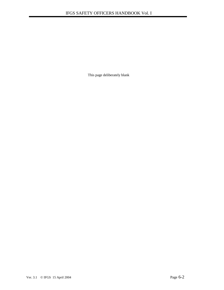This page deliberately blank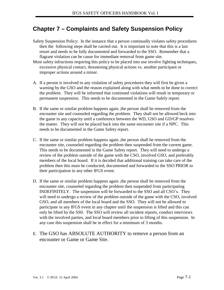# **Chapter 7 – Complaints and Safety Suspension Policy**

- Safety Suspension Policy: In the instance that a person continually violates safety procedures then the following steps shall be carried out. It is important to note that this is a last resort and needs to be fully documented and forwarded to the SSO. Remember that a flagrant violation can be cause for immediate removal from game site.
- Most safety infractions requiring this policy to be placed into use involve fighting techniques, excessive physical contact, threatening physical actions vs. another participant or improper actions around a minor.
- A. If a person is involved in any violation of safety procedures they will first be given a warning by the GSO and the reason explained along with what needs to be done to correct the problem. They will be informed that continued violations will result in temporary or permanent suspension. This needs to be documented in the Game Safely report.
- B. If the same or similar problem happens again ,the person shall be removed from the encounter site and counseled regarding the problem. They shall not be allowed beck into the game in any capacity until a conference between the WD, GSO and GD/GP resolves the matter. They will not be placed back into the same encounter site if a NPC. This needs to be documented in the Game Safety report.
- C. If the same or similar problem happens again ,the person shall be removed from the encounter site, counseled regarding the problem then suspended from the current game. This needs to be documented in the Game Safety report. They will need to undergo a review of the problem outside of the game with the CSO, involved GSO, and preferably members of the local board. If it is decided that additional training can take care of the problem then this must be conducted, documented and forwarded to the SSO PRIOR to their participation in any other IFGS event.
- D. If the same or similar problem happens again ,the person shall be removed from the encounter site, counseled regarding the problem then suspended from participating INDEFINITELY. The suspension will be forwarded to the SSO and all CSO's. They will need to undergo a review of the problem outside of the game with the CSO, involved GSO, and all members of the local board and the SSO. They will not be allowed to participate in any IFGS event in any chapter until the suspension is lifted and this can only be lifted by the SS0. The SSO will review all incident reports, conduct interviews with the involved parties, and local board members prior to lifting of this suspension. In any case this suspension shall be in effect for a minimum of 3 months.
- E. The GSO has ABSOLUTE AUTHORITY to remove a person from an encounter or Game or Game Site.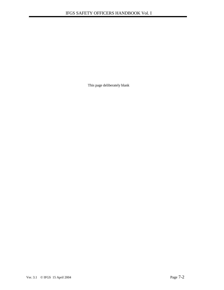This page deliberately blank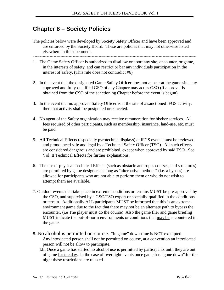# **Chapter 8 – Society Policies**

- The policies below were developed by Society Safety Officer and have been approved and are enforced by the Society Board. These are policies that may not otherwise listed elsewhere in this document.
- ~~~~~~~~~~~~~~~~~~~~~~~~~~~~~~~~~~~~~~~~~~~~~~~~~~~~~~~~~~~~~~~~~~~~~ 1. The Game Safety Officer is authorized to disallow or abort any site, encounter, or game, in the interests of safety, and can restrict or bar any individuals participation in the interest of safety. (This rule does not contradict #6)
- 2. In the event that the designated Game Safety Officer does not appear at the game site, any approved and fully-qualified GSO of any Chapter may act as GSO (If approval is obtained from the CSO of the sanctioning Chapter before the event is begun).
- 3. In the event that no approved Safety Officer is at the site of a sanctioned IFGS activity, then that activity shall be postponed or canceled.
- 4. No agent of the Safety organization may receive remuneration for his/her services. All fees required of other participants, such as membership, insurance, land-use, etc. must be paid.
- 5. All Technical Effects (especially pyrotechnic displays) at IFGS events must be reviewed and pronounced safe and legal by a Technical Safety Officer (TSO). All such effects are considered dangerous and are prohibited, except when approved by said TSO. See Vol. II Technical Effects for further explanations.
- 6. The use of physical Technical Effects (such as obstacle and ropes courses, and structures) are permitted by game designers as long as "alternative methods" (i.e. a bypass) are allowed for participants who are not able to perform them or who do not wish to attempt them are available.
- 7. Outdoor events that take place in extreme conditions or terrains MUST be pre-approved by the CSO, and supervised by a GSO/TSO expert or specially-qualified in the conditions or terrain. Additionally ALL participants MUST be informed that this is an extreme environment game due to the fact that there may not be an alternate path to bypass the encounter. (i.e The player must do the course) Also the game flier and game briefing MUST indicate the out-of-norm environments or conditions that may be encountered in the game.
- 8. No alcohol is permitted on-course. "in game" down-time is NOT exempted. Any intoxicated person shall not be permitted on course, at a convention an intoxicated person will not be allow to participate.
	- I.E. Once a game has started no alcohol use is permitted by participants until they are out of game for the day. In the case of overnight events once game has "gone down" for the night these restrictions are relaxed.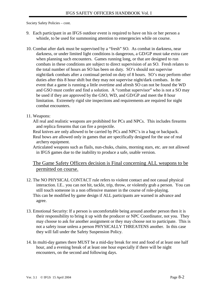Society Safety Policies – cont.

- 9. Each participant in an IFGS outdoor event is required to have on his or her person a whistle, to be used for summoning attention to emergencies while on course.
- 10. Combat after dark must be supervised by a "fresh" SO. As combat in darkness, near darkness, or under limited light conditions is dangerous, a GD/GP must take extra care when planning such encounters. Games running long, or that are designed to run combats in these conditions are subject to direct supervision of an SO. Fresh relates to the total number of hours an SO has been on duty. SO's should not supervise night/dark combats after a continual period on duty of 8 hours. SO's may perform other duties after this 8 hour shift but they may not supervise night/dark combats. In the event that a game is running a little overtime and afresh SO can not be found the WD and GSO must confer and find a solution. A "combat supervisor" who is not a SO may be used if they are approved by the GSO, WD, and GD/GP and meet the 8 hour limitation. Extremely rigid site inspections and requirements are required for night combat encounters.

#### 11. Weapons:

 All real and realistic weapons are prohibited for PCs and NPCs. This includes firearms and replica firearms that can fire a projectile.

- Real knives are only allowed to be carried by PCs and NPC's in a bag or backpack. Real bows are allowed only in games that are specifically designed for the use of real archery equipment.
- Articulated weapons such as flails, nun-chuks, chains, morning stars, etc. are not allowed in IFGS games due to the inability to produce a safe, usable version.

### The Game Safety Officers decision is Final concerning ALL weapons to be permitted on course.

- 12. The NO PHYSICAL CONTACT rule refers to violent contact and not casual physical interaction. I.E.. you can not hit, tackle, trip, throw, or violently grab a person. You can still touch someone in a non offensive manner in the course of role-playing. This can be modified by game design if ALL participants are warned in advance and agree.
- 13. Emotional Security: If a person is uncomfortable being around another person then it is their responsibility to bring it up with the producer or NPC Coordinator, not you. They may choose to ask for another assignment or they may choose not to participate. This is not a safety issue unless a person PHYSICALLY THREATENS another. In this case they will fall under the Safety Suspension Policy.
- 14. In multi-day games there MUST be a mid-day break for rest and food of at least one half hour, and a evening break of at least one hour especially if there will be night encounters, on the second and following days.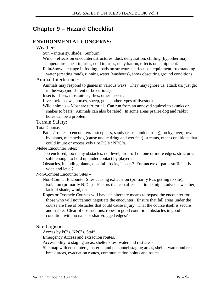# **Chapter 9 – Hazard Checklist**

#### **ENVIRONMENTAL CONCERNS:**

#### Weather:

Sun – Intensity, shade. Sunburn.

Wind – effects on encounters/structures, dust, dehydration, chilling (hypothermia).

Temperature – heat injuries, cold injuries, dehydration, effects on equipment.

 Rain/Snow – change in footing, loads on structures, effects on equipment, freestanding water (creating mud), running water (washouts), snow obscuring ground conditions.

#### Animal Interference:

 Animals may respond to games in various ways. They may ignore us, attack us, just get in the way (indifferent or be curious).

Insects – bees, mosquitoes, flies, other insects.

Livestock – cows, horses, sheep, goats, other types of livestock.

 Wild animals – Most are territorial. Can run from an annoyed squirrel to skunks or snakes to bears. Animals can also be rabid. In some areas prairie dog and rabbit holes can be a problem.

#### Terrain Safety:

Total Course:

 Paths / routes to encounters – steepness, sandy (cause undue tiring), rocky, overgrown by plants, marshy/bog (cause undue tiring and wet feet), streams, other conditions that could injure or excessively tire PC's / NPC's.

Melee Encounter Sites:

 Too enclosed, too many obstacles, not level, drop-off on one or more edges, structures solid enough to hold up under contact by players.

 Obstacles, including plants, deadfall, rocks, insects? Entrance/exit paths sufficiently wide and level?

Non-Combat Encounter Sites –

 Non-Combat Encounter Sites causing exhaustion (primarily PCs getting to site), isolation (primarily NPCs). Factors that can affect - altitude, night, adverse weather, lack of shade, wind, dust.

 Ropes or Obstacle Courses will have an alternate means to bypass the encounter for those who will not/cannot negotiate the encounter. Ensure that fall areas under the course are free of obstacles that could cause injury. That the course itself is secure and stable. Clear of obstructions, ropes in good condition, obstacles in good condition with no nails or sharp/ragged edges?

#### Site Logistics.

Access by PC's, NPC's, Staff.

Emergency Access and extraction routes.

Accessibility to staging areas, shelter sites, water and rest areas .

 Site map with encounters, material and personnel staging areas, shelter water and rest break areas, evacuation routes, communication points and routes.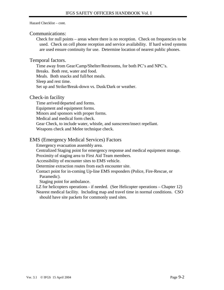#### Hazard Checklist – cont.

#### Communications:

 Check for null points – areas where there is no reception. Check on frequencies to be used. Check on cell phone reception and service availability. If hard wired systems are used ensure continuity for use. Determine location of nearest public phones.

#### Temporal factors.

 Time away from Gear/Camp/Shelter/Restrooms, for both PC's and NPC's. Breaks. Both rest, water and food. Meals. Both snacks and full/hot meals. Sleep and rest time. Set up and Strike/Break-down vs. Dusk/Dark or weather.

#### Check-in facility

 Time arrived/departed and forms. Equipment and equipment forms. Minors and sponsors with proper forms. Medical and medical form check. Gear Check, to include water, whistle, and sunscreen/insect repellant. Weapons check and Melee technique check.

#### EMS (Emergency Medical Services) Factors

Emergency evacuation assembly area.

Centralized Staging point for emergency response and medical equipment storage.

Proximity of staging area to First Aid Team members.

Accessibility of encounter sites to EMS vehicle.

Determine extraction routes from each encounter site.

 Contact point for in-coming Up-line EMS responders (Police, Fire-Rescue, or Paramedic).

Staging point for ambulance.

LZ for helicopters operations - if needed. (See Helicopter operations – Chapter 12) Nearest medical facility. Including map and travel time in normal conditions. CSO should have site packets for commonly used sites.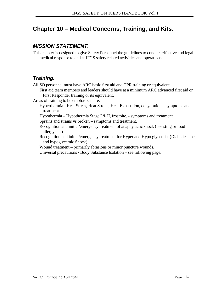# **Chapter 10 – Medical Concerns, Training, and Kits.**

## *MISSION STATEMENT.*

This chapter is designed to give Safety Personnel the guidelines to conduct effective and legal medical response to and at IFGS safety related activities and operations.

# *Training.*

All SO personnel must have ARC basic first aid and CPR training or equivalent.

 First aid team members and leaders should have at a minimum ARC advanced first aid or First Responder training or its equivalent.

Areas of training to be emphasized are:

 Hyperthermia - Heat Stress, Heat Stroke, Heat Exhaustion, dehydration – symptoms and treatment.

Hypothermia – Hypothermia Stage I & II, frostbite, - symptoms and treatment.

Sprains and strains vs broken – symptoms and treatment.

 Recognition and initial/emergency treatment of anaphylactic shock (bee sting or food allergy, etc)

 Recognition and initial/emergency treatment for Hyper and Hypo glycemia (Diabetic shock and hypoglycemic Shock).

Wound treatment – primarily abrasions or minor puncture wounds.

Universal precautions / Body Substance Isolation – see following page.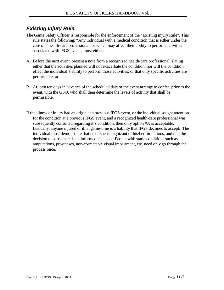# *Existing Injury Rule.*

- The Game Safety Officer is responsible for the enforcement of the "Existing injury Rule". This rule states the following: "Any individual with a medical condition that is either under the care of a health-care professional, or which may affect their ability to perform activities associated with IFGS events, must either:
- A. Before the next event, present a note from a recognized health-care professional, slating either that the activities planned will not exacerbate the condition, nor will the condition effect the individual's ability to perform those activities; or that only specific activities are permissible; or
- B. At least ten days in advance of the scheduled date of the event arrange to confer, prior to the event, with the GSO, who shall then determine the levels of activity that shall be permissible.
- If the illness or injury had an origin at a previous IFGS event, or the individual sought attention for the condition at a previous IFGS event, and a recognized health-care professional was subsequently consulted regarding it's condition, then only option #A is acceptable. Basically, anyone injured or ill at game-time is a liability that IFGS declines to accept. The individual must demonstrate that he or she is cognizant of his/her limitations, and that the decision to participate is an informed decision. People with static conditions such as amputations, prostheses, non-correctable visual impairment, etc. need only go through the process once.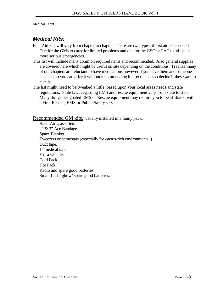Medical - cont

# *Medical Kits:*

- First Aid kits will vary from chapter to chapter. There are two types of first aid kits needed. One for the GMs to carry for limited problems and one for the GSO or FAT to utilize in more serious emergencies.
- This list will include many common required items and recommended. Also general supplies are covered here which might be useful on site depending on the conditions. I realize many of our chapters are reluctant to have medications however if you have them and someone needs them you can offer it without recommending it. Let the person decide if they want to take it.
- The list might need to be tweaked a little, based upon your local areas needs and state regulations. State laws regarding EMS and rescue equipment vary from state to state. Many things designated EMS or Rescue equipment may require you to be affiliated with a Fire, Rescue, EMS or Public Safety service.

Recommended GM kits: usually installed in a fanny pack.

 Band-Aids, assorted. 2" & 3" Ace Bandage. Space Blanket. Tweezers or hemostats (especially for cactus-rich environments :) Duct tape. 1" medical tape. Extra whistle. Cold Pack. Hot Pack. Radio and spare good batteries. Small flashlight w/ spare good batteries.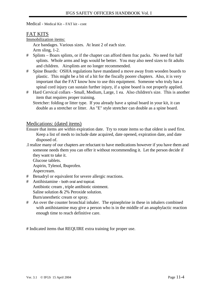Medical - Medical Kit – FAT kit - cont

### FAT KITS

#### Immobilization items:

 Ace bandages. Various sizes. At least 2 of each size. Arm sling, 1-2.

- # Splints Boars splints, or if the chapter can afford them frac packs. No need for half splints. Whole arms and legs would be better. You may also need sizes to fit adults and children. Airsplints are no longer recommended.
- # Spine Boards: OSHA regulations have mandated a move away from wooden boards to plastic. This might be a bit of a hit for the fiscally poorer chapters. Also, it is very important that the FAT know how to use this equipment. Someone who truly has a spinal cord injury can sustain further injury, if a spine board is not properly applied.
- # Hard Cervical collars Small, Medium, Large, 1 ea. Also children's size. This is another item that requires proper training.

 Stretcher: folding or litter type. If you already have a spinal board in your kit, it can double as a stretcher or litter. An "E" style stretcher can double as a spine board.

### Medications: (dated items)

Ensure that items are within expiration date. Try to rotate items so that oldest is used first. Keep a list of meds to include date acquired, date opened, expiration date, and date disposed of.

.I realize many of our chapters are reluctant to have medications however if you have them and someone needs them you can offer it without recommending it. Let the person decide if they want to take it.

Glucose tablets.

Aspirin, Tylenol, Ibuprofen.

Aspercream.

- # Benadryl or equivalent for severe allergic reactions.
- # Antihistamine both oral and topical. Antibiotic cream , triple antibiotic ointment. Saline solution & 2% Peroxide solution. Burn/anesthetic cream or spray.
- # An over the counter bronchial inhaler. The epinephrine in these in inhalers combined with antihistamine may give a person who is in the middle of an anaphylactic reaction enough time to reach definitive care.

# Indicated items that REQUIRE extra training for proper use.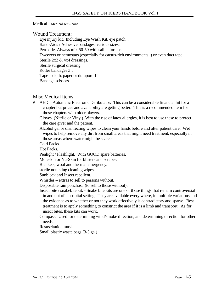#### Medical - Medical Kit - cont

#### Wound Treatment:

 Eye injury kit. Including Eye Wash Kit, eye patch, . Band-Aids / Adhesive bandages, various sizes. Peroxide. Always mix 50-50 with saline for use. Tweezers or hemostats (especially for cactus-rich environments :) or even duct tape. Sterile 2x2 & 4x4 dressings. Sterile surgical dressing. Roller bandages 3". Tape – cloth, paper or durapore 1". Bandage scissors.

#### Misc Medical Items

- # AED Automatic Electronic Defibulator. This can be a considerable financial hit for a chapter but prices and availability are getting better. This is a recommended item for those chapters with older players.
	- Gloves. (Nitrile or Vinyl) With the rise of latex allergies, it is best to use these to protect the care giver and the patient.
	- Alcohol gel or disinfecting wipes to clean your hands before and after patient care. Wet wipes to help remove any dirt from small areas that might need treatment, especially in those areas where water might be scarce.

Cold Packs.

Hot Packs.

Penlight / Flashlight. With GOOD spare batteries.

Moleskin or Nu-Skin for blisters and scrapes.

Blankets, wool and thermal emergency.

sterile non-sting cleaning wipes.

Sunblock and Insect repellent.

Whistles – extras to sell to persons without.

Disposable rain ponchos. (to sell to those without).

- Insect bite / snakebite kit. Snake bite kits are one of those things that remain controversial in and out of a hospital setting. They are available every where, in multiple variations and the evidence as to whether or not they work effectively is contradictory and sparse. Best treatment is to apply something to constrict the area if it is a limb and transport. As for insect bites, these kits can work.
- Compass. Used for determining wind/smoke direction, and determining direction for other needs.

Resuscitation masks.

Small plastic waste bags (3-5 gal)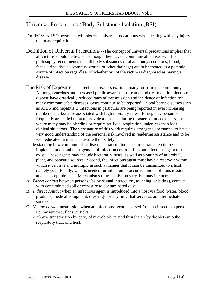# Universal Precautions / Body Substance Isolation (BSI)

- For IFGS: All SO personnel will observe universal precautions when dealing with any injury that may require it.
- Definition of Universal Precautions --The concept of universal precautions implies that all victims should be treated as though they have a communicable disease. This philosophy recommends that all body substances (oral and body secretions, blood, feces, urine, tissues, vomitus, wound or other drainage) are to be treated as a potential source of infection regardless of whether or not the victim is diagnosed as having a disease.
- The Risk of Exposure Infectious diseases exists in many forms in the community. Although vaccines and increased public awareness of cause and treatment in infectious disease have drastically reduced rates of transmission and incidence of infection for many communicable diseases, cases continue to be reported. Blood borne diseases such as AIDS and hepatitis B infections in particular are being reported in ever increasing numbers, and both are associated with high mortality rates. Emergency personnel frequently are called upon to provide assistance during disasters or at accident scenes where many may be bleeding or require artificial respiration under less than ideal clinical situations. The very nature of this work requires emergency personnel to have a very good understanding of the personal risk involved in rendering assistance and to be well educated in means to assure their safety.
- Understanding how communicable disease is transmitted is an important step in the implementation and management of infection control. First an infectious agent must exist. These agents may include bacteria, viruses, as well as a variety of microbial, plant, and parasitic sources. Second, the infectious agent must have a reservoir within which it can live and multiply in such a manner that it cam be transmitted to a host, namely you. Finally, what is needed for infection to occur is a mode of transmission and a susceptible host. Mechanisms of transmission vary, but may include:
- A. *Direct contact* between persons, (as by sexual intercourse, touching, or biting), contact with contaminated soil or exposure to contaminated dust.
- B. *Indirect contact* when an infectious agent is introduced into a host via food, water, blood products, medical equipment, dressings, or anything that serves as an intermediate source.
- C. *Vector-borne* transmission when an infectious agent is passed from an insect to a person, i.e. mosquitoes, fleas, or ticks.
- D. *Airborne* transmission by entry of microbials carried thru the air by droplets into the respiratory tract of a host.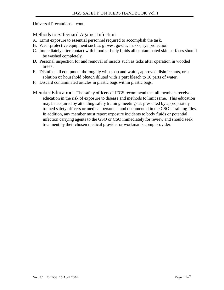Universal Precautions – cont.

Methods to Safeguard Against Infection —

- A. Limit exposure to essential personnel required to accomplish the task.
- B. Wear protective equipment such as gloves, gowns, masks, eye protection.
- C. Immediately after contact with blood or body fluids all contaminated skin surfaces should be washed completely.
- D. Personal inspection for and removal of insects such as ticks after operation in wooded areas.
- E. Disinfect all equipment thoroughly with soap and water, approved disinfectants, or a solution of household bleach diluted with 1 part bleach to 10 parts of water.
- F. Discard contaminated articles in plastic bags within plastic bags.
- Member Education The safety officers of IFGS recommend that all members receive education in the risk of exposure to disease and methods to limit same. This education may be acquired by attending safety training meetings as presented by appropriately trained safety officers or medical personnel and documented in the CSO's training files. In addition, any member must report exposure incidents to body fluids or potential infection carrying agents to the GSO or CSO immediately for review and should seek treatment by their chosen medical provider or workman's comp provider.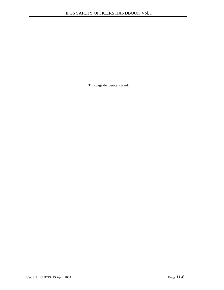This page deliberately blank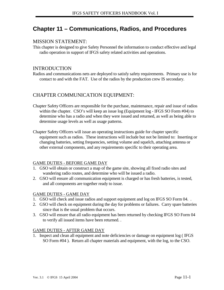# **Chapter 11 – Communications, Radios, and Procedures**

#### MISSION STATEMENT:

This chapter is designed to give Safety Personnel the information to conduct effective and legal radio operation in support of IFGS safety related activities and operations.

#### INTRODUCTION

Radios and communications nets are deployed to satisfy safety requirements. Primary use is for contact to and with the FAT. Use of the radios by the production crew IS secondary.

## CHAPTER COMMUNICATION EQUIPMENT:

- Chapter Safety Officers are responsible for the purchase, maintenance, repair and issue of radios within the chapter. CSO's will keep an issue log (Equipment log - IFGS SO Form #04) to determine who has a radio and when they were issued and returned, as well as being able to determine usage levels as well as usage patterns.
- Chapter Safety Officers will issue an operating instructions guide for chapter specific equipment such as radios. These instructions will include but not be limited to: Inserting or changing batteries, setting frequencies, setting volume and squelch, attaching antenna or other external components, and any requirements specific to their operating area.

#### GAME DUTIES - BEFORE GAME DAY

- 1. GSO will obtain or construct a map of the game site, showing all fixed radio sites and wandering radio routes, and determine who will be issued a radio.
- 2. GSO will ensure all communication equipment is charged or has fresh batteries, is tested, and all components are together ready to issue.

#### GAME DUTIES - GAME DAY

- 1. GSO will check and issue radios and support equipment and log on IFGS SO Form 04. .
- 2. GSO will check on equipment during the day for problems or failures. Carry spare batteries since that is the usual problem that occurs.
- 3. GSO will ensure that all radio equipment has been returned by checking IFGS SO Form 04 to verify all issued items have been returned. .

#### GAME DUTIES - AFTER GAME DAY

1. Inspect and clean all equipment and note deficiencies or damage on equipment log ( IFGS SO Form #04 ). Return all chapter materials and equipment, with the log, to the CSO.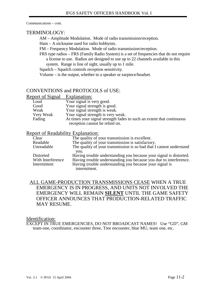Communications – cont.

#### TERMINOLOGY:

AM – Amplitude Modulation. Mode of radio transmission/reception.

Ham – A nickname used for radio hobbyists.

FM – Frequency Modulation. Mode of radio transmission/reception.

 FRS type radios – FRS (Family Radio System) is a set of frequencies that do not require a license to use. Radios are designed to use up to 22 channels available in this

system. Range is line of sight, usually up to 1 mile.

Squelch – Squelch controls reception sensitivity.

Volume – is the output, whether to a speaker or earpiece/headset.

### CONVENTIONS and PROTOCOLS of USE:

| Report of Signal Explanation: |                                                                       |
|-------------------------------|-----------------------------------------------------------------------|
| Loud                          | Your signal is very good.                                             |
| Good                          | Your signal strength is good.                                         |
| Weak                          | Your signal strength is weak.                                         |
| Very Weak                     | Your signal strength is very weak.                                    |
| Fading                        | At times your signal strength fades to such an extent that continuous |
|                               | reception cannot be relied on.                                        |

#### Report of Readability Explanation:

| Clear             | The quality of your transmission is excellent.                      |
|-------------------|---------------------------------------------------------------------|
| Readable          | The quality of your transmission is satisfactory.                   |
| Unreadable        | The quality of your transmission is so bad that I cannot understand |
|                   | you.                                                                |
| Distorted         | Having trouble understanding you because your signal is distorted.  |
| With Interference | Having trouble understanding you because you due to interference.   |
| Intermittent      | Having trouble understanding you because your signal is             |
|                   | intermittent.                                                       |
|                   |                                                                     |

### ALL GAME-PRODUCTION TRANSMISSIONS CEASE WHEN A TRUE EMERGENCY IS IN PROGRESS, AND UNITS NOT INVOLVED THE EMERGENCY WILL REMAIN **SILENT** UNTIL THE GAME SAFETY OFFICER ANNOUNCES THAT PRODUCTION-RELATED TRAFFIC MAY RESUME.

Identification:

EXCEPT IN TRUE EMERGENCIES, DO NOT BROADCAST NAMES! Use "GD", GM team-one, coordinator, encounter three, Tree encounter, blue MU, team one, etc.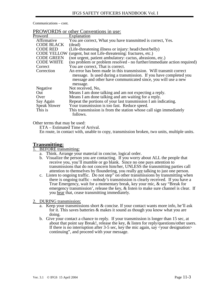Communications – cont.

| Proword             | Explanation                                                                                                                                                                                                          |
|---------------------|----------------------------------------------------------------------------------------------------------------------------------------------------------------------------------------------------------------------|
| Affirmative         | You are correct, What you have transmitted is correct, Yes.                                                                                                                                                          |
| <b>CODE BLACK</b>   | (dead)                                                                                                                                                                                                               |
| <b>CODE RED</b>     | (Life-threatening illness or injury: head/chest/belly)                                                                                                                                                               |
| <b>CODE YELLOW</b>  | (urgent, but not Life-threatening: fractures, etc.)                                                                                                                                                                  |
| <b>CODE GREEN</b>   | (not urgent, patient ambulatory: cactus, abrasions, etc.)                                                                                                                                                            |
| <b>CODE WHITE</b>   | (no problem or problem resolved - no further/immediate action required)                                                                                                                                              |
| Correct             | You are correct, That is correct.                                                                                                                                                                                    |
| Correction          | An error has been made in this transmission. Will transmit correct<br>message. Is used during a transmission. If you have completed you<br>message and other have communicated since, you will use a new<br>message. |
| Negative            | Not received, No.                                                                                                                                                                                                    |
| Out                 | Means I am done talking and am not expecting a reply.                                                                                                                                                                |
| Over                | Means I am done talking and am waiting for a reply.                                                                                                                                                                  |
| Say Again           | Repeat the portions of your last transmission I am indicating.                                                                                                                                                       |
| <b>Speak Slower</b> | Your transmission is too fast. Reduce speed.                                                                                                                                                                         |
| This is             | This transmission is from the station whose call sign immediately<br>follows.                                                                                                                                        |

#### PROWORDS or other Conventions in use:

Other terms that may be used:

ETA – Estimated Time of Arrival.

En route, in contact with, unable to copy, transmission broken, two units, multiple units.

#### **Transmitting:**

#### 1. BEFORE transmitting:

- a. Think. Arrange your material in concise, logical order.
- b. Visualize the person you are contacting. If you worry about ALL the people that receive you, you'll mumble or go blank. Since no one pays attention to transmissions that do not concern him/her, UNLESS the transmitting parties call attention to themselves by floundering, you really are talking to just one person.
- c. Listen to ongoing traffic. Do not step" on other transmissions by transmitting when there is ongoing traffic - *nobody's* transmission is clearly received. If you have a True Emergency, wait for a momentary break, key your mic, & say "Break for emergency transmission', release the key, & listen to make sure channel is clear. If you hear that, cease transmitting immediately.

#### 2. DURING transmission;

- a. Keep your transmissions short  $\&$  concise. If your contact wants more info, he'll ask for it. This saves batteries & makes it sound as though you know what you are doing.
- b. Give your contact a chance to reply. If your transmission is longer than 15 sec, at about that point say Break!, release the key, & listen for reply/questions/other users. If there is no interruption after 3-5 sec, key the mic again, say  $\le$ your designation $>$ continuing", and proceed with your message.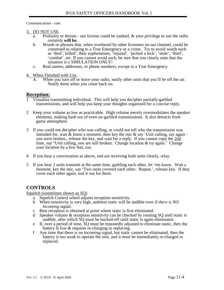Communications - cont.

- 3. DO NOT USE
	- a. Profanity or threats our license could be yanked, & your privilege to use the radio certainly **will be.**
	- b. Words or phrases that, when overheard by other licensees on our channel, could be construed as relating to a True Emergency or a crime. Try to avoid words such as 'died', killed', their euphemisms, 'injured', 'picked a lock', 'stole', 'thief', 'combat', etc. If you cannot avoid such, be sure that you clearly state that the situation is a SIMULATION ONLY!
	- c. Real names, addresses, or phone numbers, except in a True Emergency.
- 4. When Finished with Use.
	- A. When you turn off or leave your radio, notify other units that you'll be off the air. Notify them when you come back on.

#### **Reception:**

- 1 Visualize transmitting individual. This will help you decipher partially-garbled transmissions, and will help you keep your thoughts organized for a concise reply.
- 2 Keep your volume as low as practicable. High volume merely overmodulates the speaker elements, making hash out of even un-garbled transmissions. It also detracts from game atmosphere.
- 3 If you could not decipher who was calling, or could not tell who the transmission was intended for, wait  $\&$  listen a moment, then key the mic  $\&$  say 'Unit calling, say again you were broken., release the key, and wait for a reply. If you cannot copy the 2nd time, say "Unit calling, you are still broken. Change location & try again.' Change *your* location by a few feet, too.
- 4 If you hear a conversation as above, and are receiving both units clearly, relay.
- 5 If you hear 2 units transmit at the same time, garbling each other, let 'em know. Wait a moment, key the mic, say 'Two units covered each other. Repeat.', release key. If they cover each other again, sort it out for them.

## **CONTROLS**

#### Squelch (sometimes shown as SQ)

- a Squelch Control wheel adjusts reception sensitivity.
- b When sensitivity is very high, ambient static will be audible *even* if *there is NO incoming* signal.
- c Best reception is obtained at point where static is first eliminated.
- d Speaker volume & reception sensitivity can be checked by rotating SQ until static is audible, after which SQ must be backed-off until static is again eliminated.
- e If, over a period of time, SQ must be repeatedly adjusted to eliminate static, then the battery Is low & requires re-charging or replacing.
- f Any time that there is no incoming signal, but static cannot be eliminated, then the battery is too weak to operate the unit, and it must be immediately re-charged or replaced.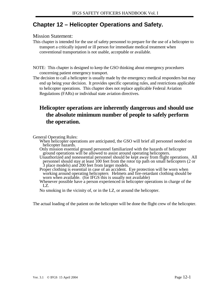# **Chapter 12 – Helicopter Operations and Safety.**

#### Mission Statement:

- This chapter is intended for the use of safety personnel to prepare for the use of a helicopter to transport a critically injured or ill person for immediate medical treatment when conventional transportation is not usable, acceptable or available.
- NOTE: This chapter is designed to keep the GSO thinking about emergency procedures concerning patient emergency transport.
- The decision to call a helicopter is usually made by the emergency medical responders but may end up being your decision. It provides specific operating rules, and restrictions applicable to helicopter operations. This chapter does not replace applicable Federal Aviation Regulations (FARs) or individual state aviation directives.

# **Helicopter operations are inherently dangerous and should use the absolute minimum number of people to safely perform the operation.**

General Operating Rules:

 When helicopter operations are anticipated, the GSO will brief all personnel needed on helicopter hazards.

- Only mission essential ground personnel familiarized with the hazards of helicopter ground operations will be allowed to assist around operating helicopters.
- Unauthorized and nonessential personnel should be kept away from flight operations. All personnel should stay at least 100 feet from the rotor tip path on small helicopters (2 or 3 place models) and 200 feet from larger models.
	- Proper clothing is essential in case of an accident. Eye protection will be worn when working around operating helicopters Helmets and fire-retardant clothing should be worn when available. (for IFGS this is usually not available)
	- Whenever possible have a person experienced in helicopter operations in charge of the LZ.

No smoking in the vicinity of, or in the LZ, or around the helicopter.

The actual loading of the patient on the helicopter will be done the flight crew of the helicopter.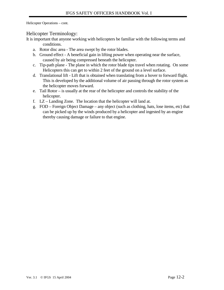## Helicopter Terminology:

It is important that anyone working with helicopters be familiar with the following terms and conditions.

- a. Rotor disc area The area swept by the rotor blades.
- b. Ground effect A beneficial gain in lifting power when operating near the surface, caused by air being compressed beneath the helicopter.
- c. Tip-path plane The plane in which the rotor blade tips travel when rotating. On some Helicopters this can get to within 2 feet of the ground on a level surface.
- d. Translational lift Lift that is obtained when translating from a hover to forward flight. This is developed by the additional volume of air passing through the rotor system as the helicopter moves forward.
- e. Tail Rotor is usually at the rear of the helicopter and controls the stability of the helicopter.
- f. LZ Landing Zone. The location that the helicopter will land at.
- g. FOD Foreign Object Damage any object (such as clothing, hats, lose items, etc) that can be picked up by the winds produced by a helicopter and ingested by an engine thereby causing damage or failure to that engine.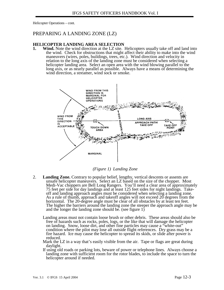#### PREPARING A LANDING ZONE (LZ)

# **HELICOPTER LANDING AREA SELECTION 1.** Wind. Note the wind direction at the LZ site.

Wind. Note the wind direction at the LZ site. Helicopters usually take off and land into the wind. Check for obstructions that might affect their ability to make into the wind maneuvers (wires, poles, buildings, trees, etc.). Wind direction and velocity in relation to the long axis of the landing zone must be considered when selecting a helicopter landing area. Select an open area with the wind blowing parallel to the long axis, or as nearly parallel as possible. Always have a means of determining the wind direction, a streamer, wind sock or smoke.



*(Figure 1) Landing Zone*

- 2. **Landing Zone.** Contrary to popular belief, lengthy, vertical descents or assents are unsafe helicopter maneuvers. Select an LZ based on the size of the chopper. Most Medi-Vac choppers are Bell Long Rangers. You'll need a clear area of approximately 75 feet per side for day landings and at least 125 feet sides for night landings. Takeoff and landing approach angles must be considered when selecting a landing zone. As a rule of thumb, approach and takeoff angles will not exceed 20 degrees from the horizontal. The 20-degree angle must be clear of all obstacles by at least ten feet. The higher the barriers around the landing zone the steeper the approach angle may be and the longer the landing zone should be. (see figure 1)
	- Landing areas must not contain loose brush or other debris. These areas should also be free of hazards such as rocks, poles, logs, or the like that will damage the helicopter on landing. Snow, loose dirt, and other fine particles may cause a "white-out" condition where the pilot may lose all outside flight references. Dry grass may be a fire hazard. Ice may cause the helicopter to spread its skids, or slide after power is reduced.
	- Mark the LZ in a way that's easily visible from the air. Tape or flags are great during daylight.
	- If using old roads or parking lots, beware of power or telephone lines. Always choose a landing zone with sufficient room for the rotor blades, to include the space to turn the helicopter around if needed.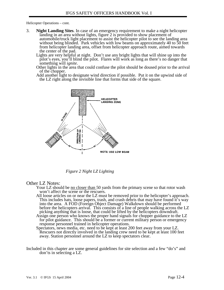- 3. **Night Landing Sites**. In case of an emergency requirement to make a night helicopter landing in an area without lights, figure 2 is provided to show placement of automobile/truck light placement to assist the helicopter pilot to see the landing area without being blinded. Park vehicles with low beams on approximately 40 to 50 feet from helicopter landing area, offset from helicopter approach route, aimed towards the center of the pad.
	- Lights are very helpful at night. Don't use any bright lights that will shine up into the pilot's eyes, you'll blind the pilot. Flares will work as long as there's no danger that something will *ignite*.
	- Other lights in the area that could confuse the pilot should be doused prior to the arrival of the chopper.
	- Add another light to designate wind direction if possible. Put it on the upwind side of the LZ right along the invisible line that forms that side of the square.



*Figure 2 Night LZ Lighting* 

#### Other LZ Notes:

 Your LZ should be no closer than 50 yards from the primary scene so that rotor wash won't affect the scene or the rescuers.

- All loose articles on or near the LZ must be removed prior to the helicopter's approach. This includes hats, loose papers, trash, and crash debris that may have found it's way into the area. A FOD (Foreign Object Damage) Walkdown should be performed before the helicopters arrival. This consists of a line of people walking across the LZ picking anything that is loose, that could be lifted by the helicopters downdraft.
- Assign one person who knows the proper hand signals for chopper guidance to the LZ for pilot guidance. This should be a former or current military person or emergency response personnel trained in helicopter operations.
- Spectators, news media, etc. need to be kept at least 200 feet away from your LZ. Rescuers not directly involved in the landing crew need to be kept at least 100 feet away. Station personnel around the LZ to keep spectators clear.
- Included in this chapter are some general guidelines for site selection and a few "do's" and don'ts in selecting a LZ.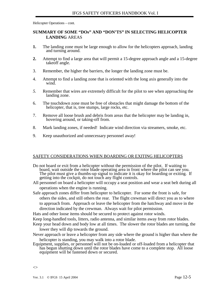#### **SUMMARY OF SOME "DOs" AND "DON'TS" IN SELECTING HELICOPTER LANDING** AREAS

- **1.** The landing zone must be large enough to allow for the helicopters approach, landing and turning around.
- **2.** Attempt to find a large area that will permit a 15-degree approach angle and a 15-degree takeoff angle.
- 3. Remember, the higher the barriers, the longer the landing zone must be.
- 4. Attempt to find a landing zone that is oriented with the long axis generally into the wind.
- *5.* Remember that wires are extremely difficult for the pilot to see when approaching the landing zone.
- 6. The touchdown zone must be free of obstacles that might damage the bottom of the helicopter, that is, tree stumps, large rocks, etc.
- 7. Remove all loose brush and debris from areas that the helicopter may be landing in, hovering around, or taking-off from.
- 8. Mark landing zones, if needed! Indicate wind direction via streamers, smoke, etc.
- 9. Keep unauthorized and unnecessary personnel away!

#### SAFETY CONSIDERATIONS WHEN BOARDING OR EXITING HELICOPTERS

- Do not board or exit from a helicopter without the permission of the pilot. If waiting to board, wait outside the rotor blade operating area in front where the pilot can see you. The pilot must give a thumbs-up signal to indicate it is okay for boarding or exiting. If getting into the cockpit, do not touch any flight controls.
- All personnel on board a helicopter will occupy a seat position and wear a seat belt during all operations when the engine is running.
- Safe approach zones differ from helicopter to helicopter. For some the front is safe, for others the sides, and still others the rear. The flight crewman will direct you as to where to approach from. Approach or leave the helicopter from the hatchway and move in the direction indicated by the crewman. Always wait for pilot permission.

Hats and other loose items should be secured to protect against rotor winds.

Keep long-handled tools, litters, radio antenna, and similar items away from rotor blades.

- Keep your head down and body low at all times. The slower the rotor blades are turning, the lower they will dip towards the ground.
- Never approach or leave a helicopter from any side where the ground is higher than where the helicopter is standing, you may walk into a rotor blade.
- Equipment, supplies, or personnel will not be on-loaded or off-loaded from a helicopter that has begun shutting down until the rotor blades have come to a complete stop. All loose equipment will be fastened down or secured.

 $\Leftrightarrow$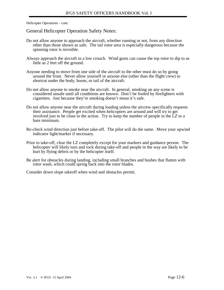General Helicopter Operation Safety Notes:

- Do not allow anyone to approach the aircraft, whether running or not, from any direction other than those shown as safe. The tail rotor area is especially dangerous because the spinning rotor is invisible.
- Always approach the aircraft in a low crouch. Wind gusts can cause the top rotor to dip to as little as 2 feet off the ground.
- Anyone needing to move from one side of the aircraft to the other must do so by going around the front. Never allow yourself or anyone else (other than the flight crew) to shortcut under the body, boom, or tail of the aircraft.
- Do not allow anyone to smoke near the aircraft. In general, smoking on any scene is considered unsafe until all conditions are known. Don't be fooled by firefighters with cigarettes. Just because they're smoking doesn't mean it's safe.
- Do not allow anyone near the aircraft during loading unless the aircrew specifically requests their assistance. People get excited when helicopters are around and will try to get involved just to be close to the action. Try to keep the number of people in the LZ to a bare minimum.
- Re-check wind direction just before take-off. The pilot will do the same. Move your upwind indicator light/marker if necessary.
- Prior to take-off, clear the LZ completely except for your markers and guidance person. The helicopter will likely turn and rock during take-off and people in the way are likely to be hurt by flying debris or by the helicopter itself.
- Be alert for obstacles during landing, including small branches and bushes that flatten with rotor wash, which could spring back into the rotor blades.

Consider down slope takeoff when wind and obstacles permit.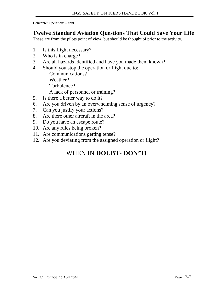# **Twelve Standard Aviation Questions That Could Save Your Life**

These are from the pilots point of view, but should be thought of prior to the activity.

- 1. Is this flight necessary?
- 2. Who is in charge?
- 3. Are all hazards identified and have you made them known?
- 4. Should you stop the operation or flight due to:
- Communications? Weather? Turbulence? A lack of personnel or training?
- 5. Is there a better way to do it?
- 6. Are you driven by an overwhelming sense of urgency?
- 7. Can you justify your actions?
- 8. Are there other aircraft in the area?
- 9. Do you have an escape route?
- 10. Are any rules being broken?
- 11. Are communications getting tense?
- 12. Are you deviating from the assigned operation or flight?

# WHEN IN **DOUBT- DON'T!**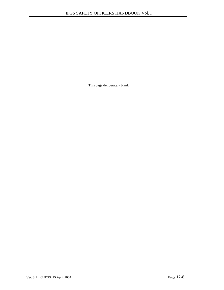This page deliberately blank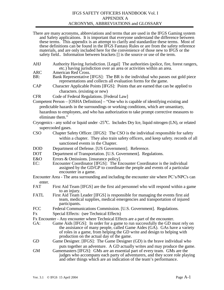| There are many acronyms, abbreviations and terms that are used in the IFGS Gaming system  |
|-------------------------------------------------------------------------------------------|
| and Safety applications. It is important that everyone understand the difference between  |
| these terms. This appendix is an attempt to clarify and standardize these terms. Most of  |
| these definitions can be found in the IFGS Fantasy Rules or are from the safety reference |
| materials, and are only included here for the convenience of those new to IFGS or the     |
| safety field Information between brackets [] is the source or use of the term.            |

- AHJ Authority Having Jurisdiction. [Legal] The authorities (police, fire, forest rangers, etc.) having jurisdiction over an area or activities within an area.
- ARC American Red Cross.<br>BR: Bank Representative
- Bank Representative [IFGS]: The BR is the individual who passes out gold piece representations and collects all evaluation forms for the game.
- CAP Character Applicable Points [IFGS]: Points that are earned that can be applied to characters. (existing or new)
- CFR Code of Federal Regulations. [Federal Law]

Competent Person – [OSHA Definition] – "One who is capable of identifying existing and predictable hazards in the surroundings or working conditions, which are unsanitary, hazardous to employees, and who has authorization to take prompt corrective measures to eliminate them."

- Cryogenics any solid or liquid under -25°C. Includes Dry Ice, liquid nitrogen (LN), or related supercooled gases.
- CSO Chapter Safety Officer. [IFGS]: The CSO is the individual responsible for safety within a chapter. They also train safety officers, and keep safety. records of all sanctioned events in the Chapter.
- DOD Department of Defense. [US Government]. Reference.
- DOT Department of Transportation. [U.S. Government]. Regulations.
- E&O Errors & Omissions. [insurance policy].
- EC: Encounter Coordinator [IFGS]: The Encounter Coordinator is the individual assigned by the GD/GP to coordinate the people and events of a particular encounter in a game.
- Encounter Area The area surrounding and including the encounter site where PC's/NPC's can
- enter.<br>FAT First Aid Team [IFGS] are the first aid personnel who will respond within a game to an injury.
- FATL First Aid Team Leader [IFGS] is responsible for managing the events first aid team, medical supplies, medical emergencies and transportation of injured participants.
- FCC Federal Communications Commission. [U.S. Government]. Regulations.
- Fx Special Effects: (see Technical Effects)
- Fx Encounter Any encounter where Technical Effects are a part of the encounter.
- GA: Game Aids [IFGS]: In order for a game to run successfully the GD must rely on the assistance of many people, called Game Aides (GA). GAs have a variety of roles in a game, from helping the GD write and design to helping with production on the actual day of the game.
- GD Game Designer. [IFGS]: The Game Designer (GD) is the brave individual who puts together an adventure. A GD actually writes and may produce the game.
- GM Gamemasters [IFGS]: GMs are an essential part of every team. GMs are the judges who accompany each party of adventurers, and they score role playing and other things which are an indication of the team's performance.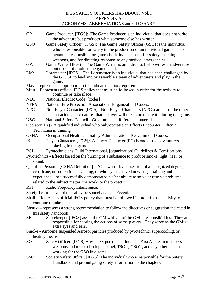#### IFGS SAFETY OFFICERS HANDBOOK Vol. I APPENDIX A ACRONYMS, ABBREVIATIONS and GLOSSARY

| GP         | Game Producer. [IFGS]: The Game Producer is an individual that does not write<br>the adventure but produces what someone else has written.                                                                                            |
|------------|---------------------------------------------------------------------------------------------------------------------------------------------------------------------------------------------------------------------------------------|
| GSO        | Game Safety Officer. [IFGS]: The Game Safety Officer (GSO) is the individual<br>who is responsible for safety in the production of an individual game. This<br>person is responsible for game check-in/check-out, for safety checking |
| GW         | weapons, and for directing response to any medical emergencies.<br>Game Writer [IFGS]: The Game Writer is an individual who writes an adventure<br>but does not produce the game itself.                                              |
| LM:        | Loremaster [IFGS]: The Loremaster is an individual that has been challenged by<br>the GD/GP to lead and/or assemble a team of adventurers and play in the                                                                             |
|            | game.<br>May – represents an option to do the indicated action/requirement.                                                                                                                                                           |
|            | Must – Represents official IFGS policy that must be followed in order for the activity to<br>continue or take place.                                                                                                                  |
| NEC        | National Electric Code. [codes]                                                                                                                                                                                                       |
| NFPA       | National Fire Protection Association. [organization] Codes.                                                                                                                                                                           |
| <b>NPC</b> | Non-Player Character. [IFGS]: Non-Player Characters (NPCs) are all of the other                                                                                                                                                       |
|            | characters and creatures that a player will meet and deal with during the game.                                                                                                                                                       |
| <b>NSC</b> | National Safety Council. [Government]. Reference material.                                                                                                                                                                            |
|            | Operator (Fx) - A qualified individual who only operates an Effects Encounter. Often a                                                                                                                                                |
|            | Technician in training.                                                                                                                                                                                                               |
| OSHA       | Occupational Health and Safety Administration. [Government] Codes.                                                                                                                                                                    |
| PC         | Player Character. [IFGS]: A Player Character (PC) is one of the adventurers                                                                                                                                                           |
|            | playing in the game.                                                                                                                                                                                                                  |
| PGI        | Pyrotechnicians Guild International. [organization] Guidelines & Certifications.                                                                                                                                                      |
|            | Pyrotechnics - Effects based on the burning of a substance to produce smoke, light, heat, or                                                                                                                                          |
| sound.     |                                                                                                                                                                                                                                       |
|            | Qualified Person - [OSHA Definition] – "One who – by possession of a recognized degree,                                                                                                                                               |
|            | certificate, or professional standing, or who by extensive knowledge, training and                                                                                                                                                    |
|            | experience – has successfully demonstrated his/her ability to solve or resolve problems                                                                                                                                               |
|            | related to the subject matter, the work, or the project."                                                                                                                                                                             |
| RFI        | Radio Frequency Interference.                                                                                                                                                                                                         |
|            |                                                                                                                                                                                                                                       |
|            | Safety Team - Is all of the safety personnel at a game/event.                                                                                                                                                                         |
|            | Shall – Represents official IFGS policy that must be followed in order for the activity to                                                                                                                                            |
|            | continue or take place.                                                                                                                                                                                                               |
|            | Should – represents a strong recommendation to follow the directives or suggestion indicated in                                                                                                                                       |
| SK         | this safety handbook.<br>Scorekeeper [IFGS] assist the GM with all of the GM's responsibilities. They are<br>responsible for scoring the actions of some players. They serve as the GM's                                              |
|            | extra eyes and ears.                                                                                                                                                                                                                  |
|            | Smoke - Airborne suspended Aerosol particles produced by pyrotechnic, supercooling, or                                                                                                                                                |
|            | heating means.                                                                                                                                                                                                                        |
| SO         | Safety Officer. [IFGS] Any safety personnel. Includes First Aid team members,                                                                                                                                                         |
|            | weapons and melee check personnel, TSO's, GSO's, and any other persons<br>working for the GSO in a game.                                                                                                                              |
| SSO        | Society Safety Officer. [IFGS] The individual who is responsible for the Safety                                                                                                                                                       |
|            | Handbook and promulgating safety information to the chapters.                                                                                                                                                                         |
|            |                                                                                                                                                                                                                                       |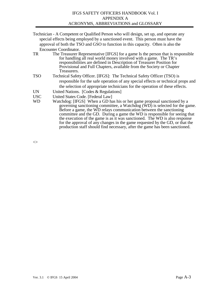- Technician A Competent or Qualified Person who will design, set up, and operate any special effects being employed by a sanctioned event. This person must have the approval of both the TSO and GSO to function in this capacity. Often is also the Encounter Coordinator.
- TR The Treasurer Representative [IFGS] for a game Is the person that is responsible for handling all real world money involved with a game. The TR's responsibilities are defined in Description of Treasurer Position for Provisional and Full Chapters, available from the Society or Chapter Treasurers.
- TSO Technical Safety Officer. [IFGS]: The Technical Safety Officer (TSO) is responsible for the safe operation of any special effects or technical props and the selection of appropriate technicians for the operation of these effects.
- UN United Nations. [Codes & Regulations]
- USC United States Code. [Federal Law]
- WD Watchdog: [IFGS] When a GD has his or her game proposal sanctioned by a governing sanctioning committee, a Watchdog (WD) is selected for the game. Before a game, the WD relays communication between the sanctioning committee and the GD. During a game the WD is responsible for seeing that the execution of the game is as it was sanctioned. The WD is also response for the approval of any changes in the game requested by the GD, or that the production staff should find necessary, after the game has been sanctioned.

 $\leftrightarrow$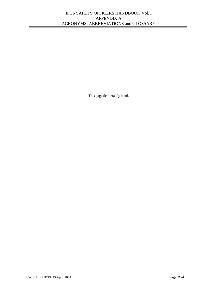This page deliberately blank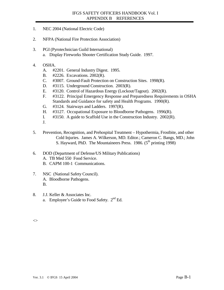- 1. NEC 2004 (National Electric Code)
- 2. NFPA (National Fire Protection Association)
- 3. PGI (Pyrotechnician Guild International) a. Display Fireworks Shooter Certification Study Guide. 1997.
- 4. OSHA.
	- A. #2201. General Industry Digest. 1995.
	- B. #2226. Excavations. 2002(R).
	- C. #3007. Ground-Fault Protection on Construction Sites. 1998(R).
	- D. #3115. Underground Construction. 2003(R).
	- E. #3120. Control of Hazardous Energy (Lockout/Tagout). 2002(R).
	- F. #3122. Principal Emergency Response and Preparedness Requirements in OSHA Standards and Guidance for safety and Health Programs. 1990(R).
	- G. #3124. Stairways and Ladders. 1997(R).
	- H. #3127. Occupational Exposure to Bloodborne Pathogens. 1996(R).
	- I. #3150. A guide to Scaffold Use in the Construction Industry. 2002(R).
	- J.
- 5. Prevention, Recognition, and Prehospital Treatment Hypothermia, Frostbite, and other Cold Injuries. James A. Wilkerson, MD. Editor.; Cameron C. Bangs, MD.; John S. Hayward, PhD. The Mountaineers Press.  $1986$ . ( $5<sup>th</sup>$  printing 1998)
- 6. DOD (Department of Defense/US Military Publications) A. TB Med 550 Food Service. B. CAPM 100-1 Communications.
- 7. NSC (National Safety Council). A. Bloodborne Pathogens. B.
- 8. J.J. Keller & Associates Inc. a. Employee's Guide to Food Safety.  $2<sup>nd</sup>$  Ed.

 $<$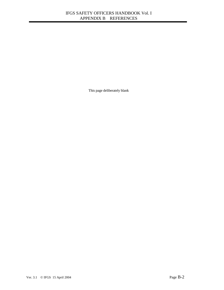This page deliberately blank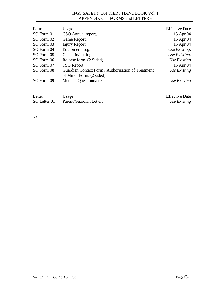### IFGS SAFETY OFFICERS HANDBOOK Vol. I APPENDIX C FORMS and LETTERS

| Form       | Usage                                                                          | <b>Effective Date</b> |
|------------|--------------------------------------------------------------------------------|-----------------------|
| SO Form 01 | CSO Annual report.                                                             | 15 Apr 04             |
| SO Form 02 | Game Report.                                                                   | 15 Apr 04             |
| SO Form 03 | Injury Report.                                                                 | 15 Apr 04             |
| SO Form 04 | Equipment Log.                                                                 | Use Existing.         |
| SO Form 05 | Check-in/out log.                                                              | Use Existing.         |
| SO Form 06 | Release form. (2 Sided)                                                        | Use Existing          |
| SO Form 07 | TSO Report.                                                                    | 15 Apr 04             |
| SO Form 08 | Guardian Contact Form / Authorization of Treatment<br>of Minor Form. (2 sided) | Use Existing          |
| SO Form 09 | Medical Questionnaire.                                                         | Use Existing          |
|            |                                                                                |                       |
| Letter     | Usage                                                                          | <b>Effective Date</b> |

| Leuer        | Jsage-                  | Effective Date |
|--------------|-------------------------|----------------|
| SO Letter 01 | Parent/Guardian Letter. | Use Existing   |

 $\Leftrightarrow$